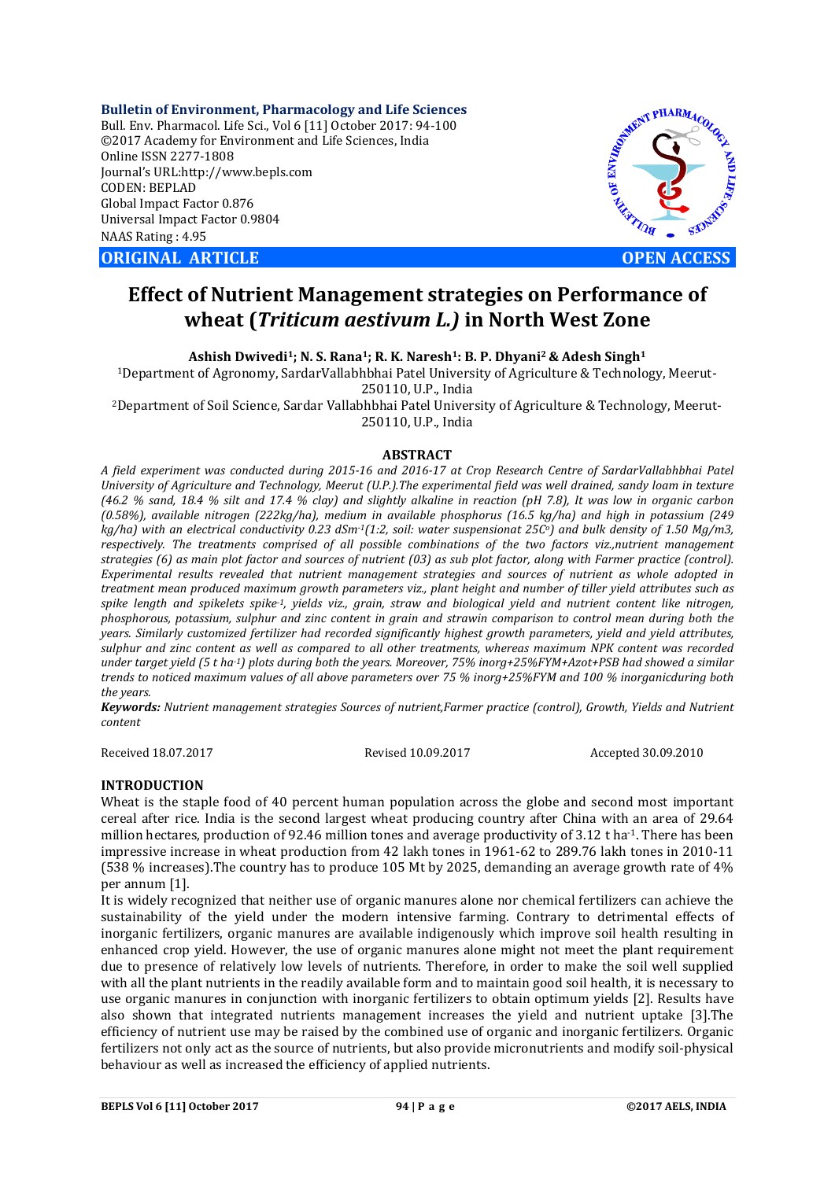**Bulletin of Environment, Pharmacology and Life Sciences** Bull. Env. Pharmacol. Life Sci., Vol 6 [11] October 2017: 94-100 ©2017 Academy for Environment and Life Sciences, India Online ISSN 2277-1808 Journal's URL:http://www.bepls.com CODEN: BEPLAD Global Impact Factor 0.876 Universal Impact Factor 0.9804 NAAS Rating : 4.95

**ORIGINAL ARTICLE OPEN ACCESS** 



# **Effect of Nutrient Management strategies on Performance of wheat (***Triticum aestivum L.)* **in North West Zone**

**Ashish Dwivedi1; N. S. Rana1; R. K. Naresh1: B. P. Dhyani2 & Adesh Singh1**

1Department of Agronomy, SardarVallabhbhai Patel University of Agriculture & Technology, Meerut-250110, U.P., India

2Department of Soil Science, Sardar Vallabhbhai Patel University of Agriculture & Technology, Meerut-250110, U.P., India

# **ABSTRACT**

*A field experiment was conducted during 2015-16 and 2016-17 at Crop Research Centre of SardarVallabhbhai Patel University of Agriculture and Technology, Meerut (U.P.).The experimental field was well drained, sandy loam in texture (46.2 % sand, 18.4 % silt and 17.4 % clay) and slightly alkaline in reaction (pH 7.8), It was low in organic carbon (0.58%), available nitrogen (222kg/ha), medium in available phosphorus (16.5 kg/ha) and high in potassium (249 kg/ha) with an electrical conductivity 0.23 dSm-1(1:2, soil: water suspensionat 25Co) and bulk density of 1.50 Mg/m3, respectively. The treatments comprised of all possible combinations of the two factors viz.,nutrient management strategies (6) as main plot factor and sources of nutrient (03) as sub plot factor, along with Farmer practice (control). Experimental results revealed that nutrient management strategies and sources of nutrient as whole adopted in treatment mean produced maximum growth parameters viz., plant height and number of tiller yield attributes such as spike length and spikelets spike-1, yields viz., grain, straw and biological yield and nutrient content like nitrogen, phosphorous, potassium, sulphur and zinc content in grain and strawin comparison to control mean during both the years. Similarly customized fertilizer had recorded significantly highest growth parameters, yield and yield attributes, sulphur and zinc content as well as compared to all other treatments, whereas maximum NPK content was recorded under target yield (5 t ha-1) plots during both the years. Moreover, 75% inorg+25%FYM+Azot+PSB had showed a similar trends to noticed maximum values of all above parameters over 75 % inorg+25%FYM and 100 % inorganicduring both the years.*

*Keywords: Nutrient management strategies Sources of nutrient,Farmer practice (control), Growth, Yields and Nutrient content*

Received 18.07.2017 Revised 10.09.2017 Accepted 30.09.2010

### **INTRODUCTION**

Wheat is the staple food of 40 percent human population across the globe and second most important cereal after rice. India is the second largest wheat producing country after China with an area of 29.64 million hectares, production of 92.46 million tones and average productivity of 3.12 t ha<sup>-1</sup>. There has been impressive increase in wheat production from 42 lakh tones in 1961-62 to 289.76 lakh tones in 2010-11 (538 % increases).The country has to produce 105 Mt by 2025, demanding an average growth rate of 4% per annum [1].

It is widely recognized that neither use of organic manures alone nor chemical fertilizers can achieve the sustainability of the yield under the modern intensive farming. Contrary to detrimental effects of inorganic fertilizers, organic manures are available indigenously which improve soil health resulting in enhanced crop yield. However, the use of organic manures alone might not meet the plant requirement due to presence of relatively low levels of nutrients. Therefore, in order to make the soil well supplied with all the plant nutrients in the readily available form and to maintain good soil health, it is necessary to use organic manures in conjunction with inorganic fertilizers to obtain optimum yields [2]. Results have also shown that integrated nutrients management increases the yield and nutrient uptake [3].The efficiency of nutrient use may be raised by the combined use of organic and inorganic fertilizers. Organic fertilizers not only act as the source of nutrients, but also provide micronutrients and modify soil-physical behaviour as well as increased the efficiency of applied nutrients.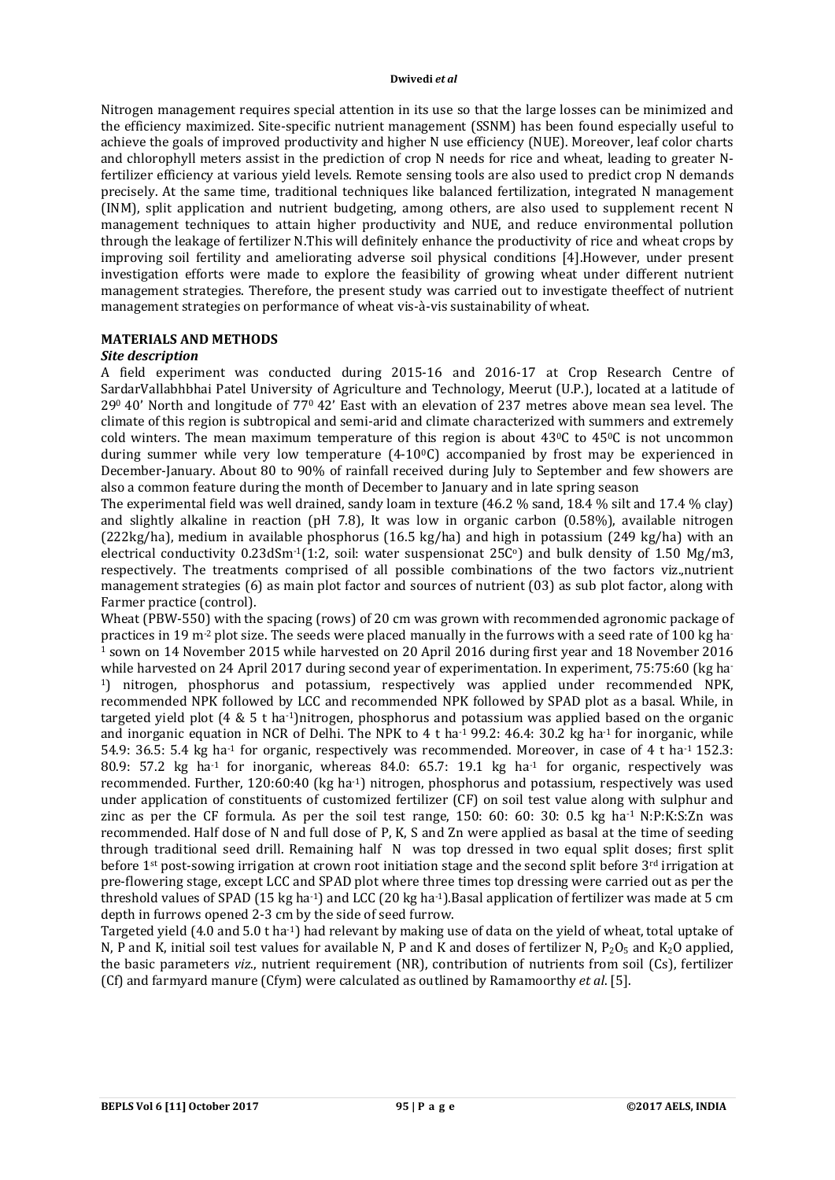Nitrogen management requires special attention in its use so that the large losses can be minimized and the efficiency maximized. Site-specific nutrient management (SSNM) has been found especially useful to achieve the goals of improved productivity and higher N use efficiency (NUE). Moreover, leaf color charts and chlorophyll meters assist in the prediction of crop N needs for rice and wheat, leading to greater Nfertilizer efficiency at various yield levels. Remote sensing tools are also used to predict crop N demands precisely. At the same time, traditional techniques like balanced fertilization, integrated N management (INM), split application and nutrient budgeting, among others, are also used to supplement recent N management techniques to attain higher productivity and NUE, and reduce environmental pollution through the leakage of fertilizer N.This will definitely enhance the productivity of rice and wheat crops by improving soil fertility and ameliorating adverse soil physical conditions [4].However, under present investigation efforts were made to explore the feasibility of growing wheat under different nutrient management strategies. Therefore, the present study was carried out to investigate theeffect of nutrient management strategies on performance of wheat vis-à-vis sustainability of wheat.

# **MATERIALS AND METHODS**

# *Site description*

A field experiment was conducted during 2015-16 and 2016-17 at Crop Research Centre of SardarVallabhbhai Patel University of Agriculture and Technology, Meerut (U.P.), located at a latitude of 290 40' North and longitude of 770 42' East with an elevation of 237 metres above mean sea level. The climate of this region is subtropical and semi-arid and climate characterized with summers and extremely cold winters. The mean maximum temperature of this region is about  $43\degree$ C to  $45\degree$ C is not uncommon during summer while very low temperature  $(4-10\degree C)$  accompanied by frost may be experienced in December-January. About 80 to 90% of rainfall received during July to September and few showers are also a common feature during the month of December to January and in late spring season

The experimental field was well drained, sandy loam in texture (46.2 % sand, 18.4 % silt and 17.4 % clay) and slightly alkaline in reaction (pH 7.8), It was low in organic carbon (0.58%), available nitrogen (222kg/ha), medium in available phosphorus (16.5 kg/ha) and high in potassium (249 kg/ha) with an electrical conductivity 0.23dSm<sup>-1</sup>(1:2, soil: water suspensionat 25 $C^{\circ}$ ) and bulk density of 1.50 Mg/m3, respectively. The treatments comprised of all possible combinations of the two factors viz.,nutrient management strategies (6) as main plot factor and sources of nutrient (03) as sub plot factor, along with Farmer practice (control).

Wheat (PBW-550) with the spacing (rows) of 20 cm was grown with recommended agronomic package of practices in 19 m<sup>-2</sup> plot size. The seeds were placed manually in the furrows with a seed rate of 100 kg ha-<sup>1</sup> sown on 14 November 2015 while harvested on 20 April 2016 during first year and 18 November 2016 while harvested on 24 April 2017 during second year of experimentation. In experiment, 75:75:60 (kg ha-1) nitrogen, phosphorus and potassium, respectively was applied under recommended NPK, recommended NPK followed by LCC and recommended NPK followed by SPAD plot as a basal. While, in targeted yield plot  $(4 \& 5 \t{ t} \text{ ha}^{-1})$ nitrogen, phosphorus and potassium was applied based on the organic and inorganic equation in NCR of Delhi. The NPK to 4 t ha<sup>-1</sup> 99.2: 46.4: 30.2 kg ha<sup>-1</sup> for inorganic, while 54.9: 36.5: 5.4 kg ha<sup>-1</sup> for organic, respectively was recommended. Moreover, in case of 4 t ha<sup>-1</sup> 152.3: 80.9: 57.2 kg ha<sup>-1</sup> for inorganic, whereas 84.0: 65.7: 19.1 kg ha<sup>-1</sup> for organic, respectively was recommended. Further, 120:60:40 (kg ha-1) nitrogen, phosphorus and potassium, respectively was used under application of constituents of customized fertilizer (CF) on soil test value along with sulphur and zinc as per the CF formula. As per the soil test range,  $150: 60: 60: 30: 0.5$  kg ha<sup>-1</sup> N:P:K:S:Zn was recommended. Half dose of N and full dose of P, K, S and Zn were applied as basal at the time of seeding through traditional seed drill. Remaining half N was top dressed in two equal split doses; first split before 1st post-sowing irrigation at crown root initiation stage and the second split before 3rd irrigation at pre-flowering stage, except LCC and SPAD plot where three times top dressing were carried out as per the threshold values of SPAD (15 kg ha<sup>-1</sup>) and LCC (20 kg ha<sup>-1</sup>).Basal application of fertilizer was made at 5 cm depth in furrows opened 2-3 cm by the side of seed furrow.

Targeted yield (4.0 and 5.0 t ha-1) had relevant by making use of data on the yield of wheat, total uptake of N, P and K, initial soil test values for available N, P and K and doses of fertilizer N,  $P_2O_5$  and K<sub>2</sub>O applied, the basic parameters *viz*., nutrient requirement (NR), contribution of nutrients from soil (Cs), fertilizer (Cf) and farmyard manure (Cfym) were calculated as outlined by Ramamoorthy *et al*. [5].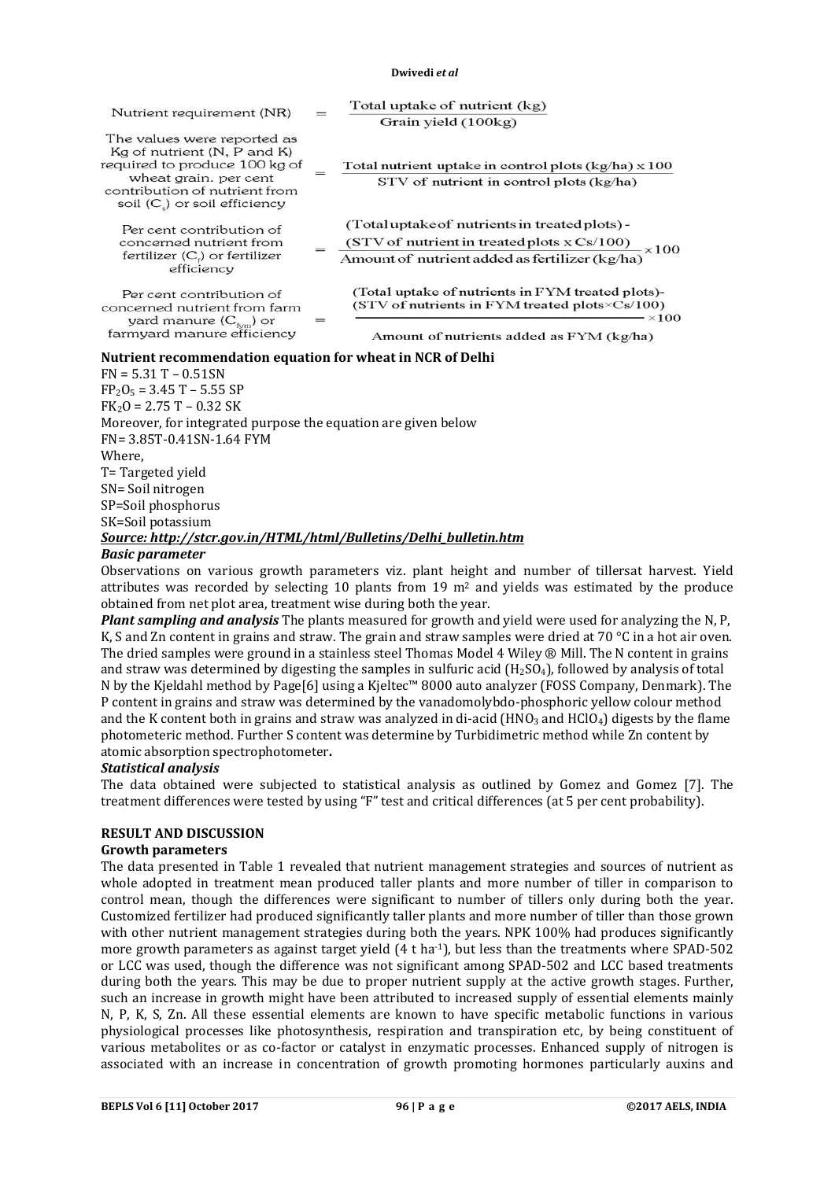| Nutrient requirement (NR)                                                                                                                                                                  | $=$ | Total uptake of nutrient (kg)<br>Grain yield (100kg)                                                                                                            |
|--------------------------------------------------------------------------------------------------------------------------------------------------------------------------------------------|-----|-----------------------------------------------------------------------------------------------------------------------------------------------------------------|
| The values were reported as<br>Kg of nutrient (N, P and K)<br>required to produce 100 kg of<br>wheat grain, per cent<br>contribution of nutrient from<br>soil $(C_{s})$ or soil efficiency |     | Total nutrient uptake in control plots $(kg/ha) \times 100$<br>$STV$ of nutrient in control plots $(kg/ha)$                                                     |
| Per cent contribution of<br>concerned nutrient from<br>fertilizer $(C_i)$ or fertilizer<br>efficiency                                                                                      |     | (Total uptake of nutrients in treated plots) -<br>(STV of nutrient in treated plots $x Cs/100$ ) $\times 100$<br>Amount of nutrient added as fertilizer (kg/ha) |
| Per cent contribution of<br>concerned nutrient from farm                                                                                                                                   |     | (Total uptake of nutrients in FYM treated plots)-<br>(STV of nutrients in FYM treated plots $\times$ Cs/100)<br>$\times 100$                                    |
| yard manure $(C_{\text{fum}})$ or<br>farmyard manure efficiency                                                                                                                            |     | Amount of nutrients added as FYM (kg/ha)                                                                                                                        |

#### **Nutrient recommendation equation for wheat in NCR of Delhi**

| $FN = 5.31 T - 0.51 SN$                                           |
|-------------------------------------------------------------------|
| $FP_2O_5 = 3.45 T - 5.55 SP$                                      |
| $FK2O = 2.75 T - 0.32 SK$                                         |
| Moreover, for integrated purpose the equation are given below     |
| FN= 3.85T-0.41SN-1.64 FYM                                         |
| Where,                                                            |
| T=Targeted yield                                                  |
| SN= Soil nitrogen                                                 |
| SP=Soil phosphorus                                                |
| SK=Soil potassium                                                 |
| Source: http://stcr.gov.in/HTML/html/Bulletins/Delhi bulletin.htm |

#### *Basic parameter*

Observations on various growth parameters viz. plant height and number of tillersat harvest. Yield attributes was recorded by selecting 10 plants from 19  $m<sup>2</sup>$  and yields was estimated by the produce obtained from net plot area, treatment wise during both the year.

*Plant sampling and analysis* The plants measured for growth and yield were used for analyzing the N, P, K, S and Zn content in grains and straw. The grain and straw samples were dried at 70 °C in a hot air oven. The dried samples were ground in a stainless steel Thomas Model 4 Wiley ® Mill. The N content in grains and straw was determined by digesting the samples in sulfuric acid  $(H_2SO_4)$ , followed by analysis of total N by the Kjeldahl method by Page[6] using a Kjeltec™ 8000 auto analyzer (FOSS Company, Denmark). The P content in grains and straw was determined by the vanadomolybdo-phosphoric yellow colour method and the K content both in grains and straw was analyzed in di-acid ( $HNO<sub>3</sub>$  and  $HClO<sub>4</sub>$ ) digests by the flame photometeric method. Further S content was determine by Turbidimetric method while Zn content by atomic absorption spectrophotometer**.**

#### *Statistical analysis*

The data obtained were subjected to statistical analysis as outlined by Gomez and Gomez [7]. The treatment differences were tested by using "F" test and critical differences (at 5 per cent probability).

### **RESULT AND DISCUSSION**

# **Growth parameters**

The data presented in Table 1 revealed that nutrient management strategies and sources of nutrient as whole adopted in treatment mean produced taller plants and more number of tiller in comparison to control mean, though the differences were significant to number of tillers only during both the year. Customized fertilizer had produced significantly taller plants and more number of tiller than those grown with other nutrient management strategies during both the years. NPK 100% had produces significantly more growth parameters as against target yield (4 t ha-1), but less than the treatments where SPAD-502 or LCC was used, though the difference was not significant among SPAD-502 and LCC based treatments during both the years. This may be due to proper nutrient supply at the active growth stages. Further, such an increase in growth might have been attributed to increased supply of essential elements mainly N, P, K, S, Zn. All these essential elements are known to have specific metabolic functions in various physiological processes like photosynthesis, respiration and transpiration etc, by being constituent of various metabolites or as co-factor or catalyst in enzymatic processes. Enhanced supply of nitrogen is associated with an increase in concentration of growth promoting hormones particularly auxins and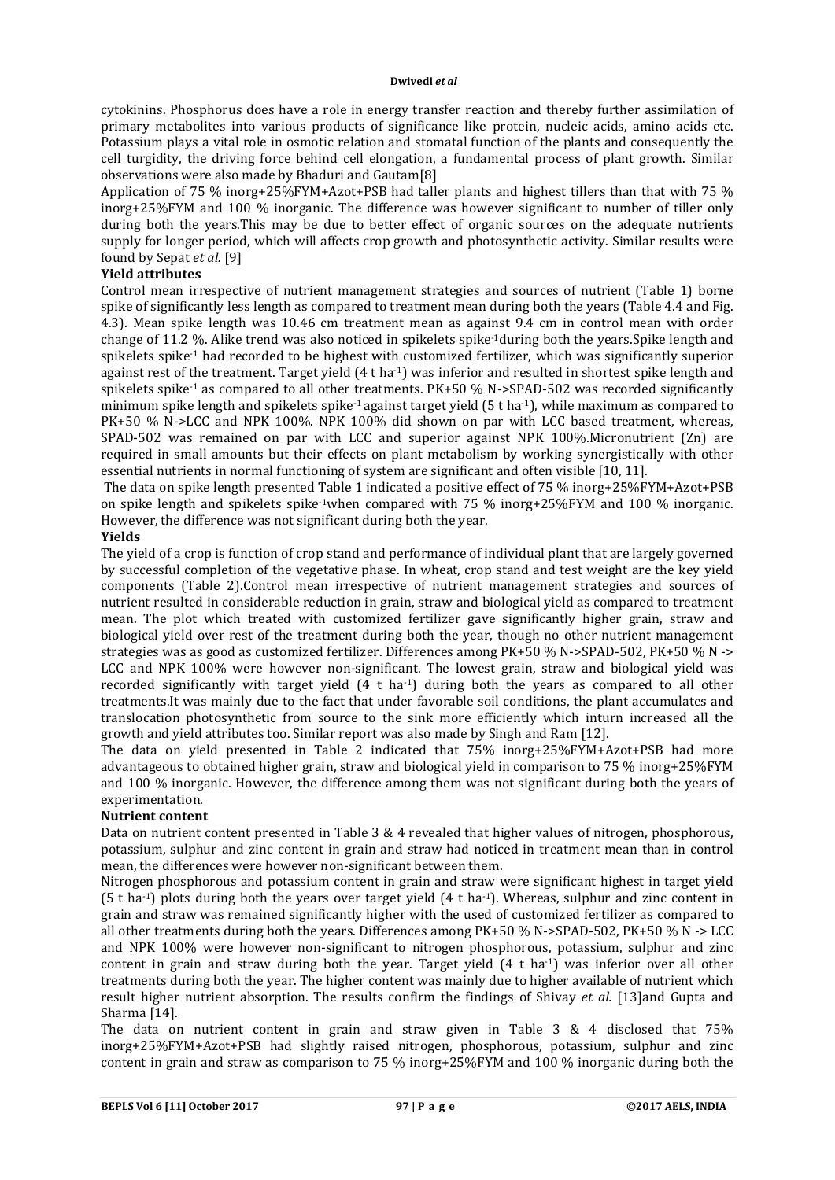cytokinins. Phosphorus does have a role in energy transfer reaction and thereby further assimilation of primary metabolites into various products of significance like protein, nucleic acids, amino acids etc. Potassium plays a vital role in osmotic relation and stomatal function of the plants and consequently the cell turgidity, the driving force behind cell elongation, a fundamental process of plant growth. Similar observations were also made by Bhaduri and Gautam[8]

Application of 75 % inorg+25%FYM+Azot+PSB had taller plants and highest tillers than that with 75 % inorg+25%FYM and 100 % inorganic. The difference was however significant to number of tiller only during both the years.This may be due to better effect of organic sources on the adequate nutrients supply for longer period, which will affects crop growth and photosynthetic activity. Similar results were found by Sepat *et al.* [9]

# **Yield attributes**

Control mean irrespective of nutrient management strategies and sources of nutrient (Table 1) borne spike of significantly less length as compared to treatment mean during both the years (Table 4.4 and Fig. 4.3). Mean spike length was 10.46 cm treatment mean as against 9.4 cm in control mean with order change of 11.2 %. Alike trend was also noticed in spikelets spike-1during both the years.Spike length and spikelets spike-1 had recorded to be highest with customized fertilizer, which was significantly superior against rest of the treatment. Target yield (4 t ha<sup>-1</sup>) was inferior and resulted in shortest spike length and spikelets spike<sup>-1</sup> as compared to all other treatments. PK+50 % N->SPAD-502 was recorded significantly minimum spike length and spikelets spike-1 against target yield (5 t ha-1), while maximum as compared to PK+50 % N->LCC and NPK 100%. NPK 100% did shown on par with LCC based treatment, whereas, SPAD-502 was remained on par with LCC and superior against NPK 100%.Micronutrient (Zn) are required in small amounts but their effects on plant metabolism by working synergistically with other essential nutrients in normal functioning of system are significant and often visible [10, 11].

The data on spike length presented Table 1 indicated a positive effect of 75 % inorg+25%FYM+Azot+PSB on spike length and spikelets spike<sup>-1</sup>when compared with 75 % inorg+25%FYM and 100 % inorganic. However, the difference was not significant during both the year.

# **Yields**

The yield of a crop is function of crop stand and performance of individual plant that are largely governed by successful completion of the vegetative phase. In wheat, crop stand and test weight are the key yield components (Table 2).Control mean irrespective of nutrient management strategies and sources of nutrient resulted in considerable reduction in grain, straw and biological yield as compared to treatment mean. The plot which treated with customized fertilizer gave significantly higher grain, straw and biological yield over rest of the treatment during both the year, though no other nutrient management strategies was as good as customized fertilizer. Differences among PK+50 % N->SPAD-502, PK+50 % N -> LCC and NPK 100% were however non-significant. The lowest grain, straw and biological yield was recorded significantly with target yield  $(4 \t ha^{-1})$  during both the years as compared to all other treatments.It was mainly due to the fact that under favorable soil conditions, the plant accumulates and translocation photosynthetic from source to the sink more efficiently which inturn increased all the growth and yield attributes too. Similar report was also made by Singh and Ram [12].

The data on yield presented in Table 2 indicated that 75% inorg+25%FYM+Azot+PSB had more advantageous to obtained higher grain, straw and biological yield in comparison to 75 % inorg+25%FYM and 100 % inorganic. However, the difference among them was not significant during both the years of experimentation.

### **Nutrient content**

Data on nutrient content presented in Table 3 & 4 revealed that higher values of nitrogen, phosphorous, potassium, sulphur and zinc content in grain and straw had noticed in treatment mean than in control mean, the differences were however non-significant between them.

Nitrogen phosphorous and potassium content in grain and straw were significant highest in target yield  $(5 \text{ tha}^{-1})$  plots during both the years over target yield  $(4 \text{ tha}^{-1})$ . Whereas, sulphur and zinc content in grain and straw was remained significantly higher with the used of customized fertilizer as compared to all other treatments during both the years. Differences among PK+50 % N->SPAD-502, PK+50 % N -> LCC and NPK 100% were however non-significant to nitrogen phosphorous, potassium, sulphur and zinc content in grain and straw during both the year. Target yield  $(4 \text{ t} \text{ ha}^{-1})$  was inferior over all other treatments during both the year. The higher content was mainly due to higher available of nutrient which result higher nutrient absorption. The results confirm the findings of Shivay *et al.* [13]and Gupta and Sharma [14].

The data on nutrient content in grain and straw given in Table 3 & 4 disclosed that 75% inorg+25%FYM+Azot+PSB had slightly raised nitrogen, phosphorous, potassium, sulphur and zinc content in grain and straw as comparison to 75 % inorg+25%FYM and 100 % inorganic during both the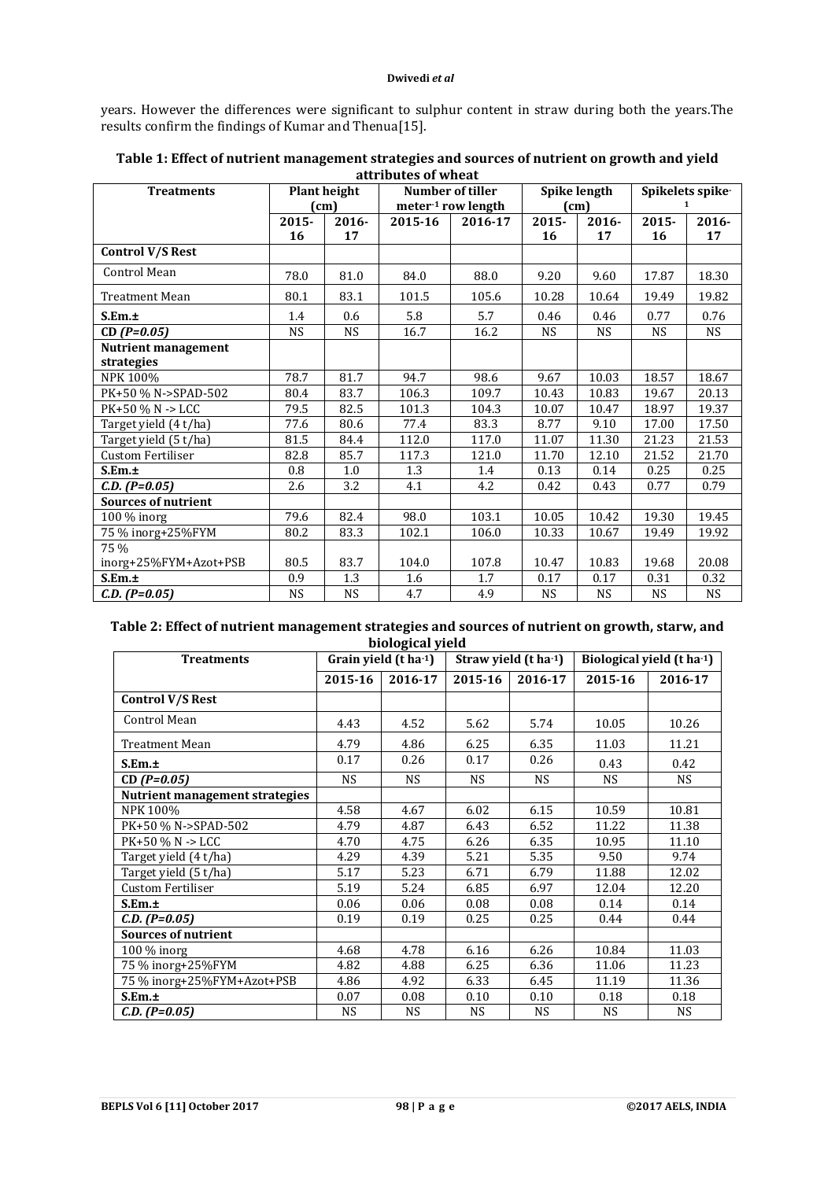years. However the differences were significant to sulphur content in straw during both the years.The results confirm the findings of Kumar and Thenua[15].

| <b>Treatments</b>          |           | <b>Plant height</b> |                    | Number of tiller   |                   | Spike length | Spikelets spike-     |           |  |
|----------------------------|-----------|---------------------|--------------------|--------------------|-------------------|--------------|----------------------|-----------|--|
|                            | (cm)      |                     |                    | meter-1 row length |                   | (cm)         | 1                    |           |  |
|                            | $2015 -$  | $2016 -$            | 2015-16<br>2016-17 |                    | $2015 -$<br>2016- |              | $2015 -$<br>$2016 -$ |           |  |
|                            | 16        | 17                  |                    |                    | 16                | 17           | 16                   | 17        |  |
| <b>Control V/S Rest</b>    |           |                     |                    |                    |                   |              |                      |           |  |
| Control Mean               | 78.0      | 81.0                | 84.0               | 88.0               | 9.20              | 9.60         | 17.87                | 18.30     |  |
| Treatment Mean             | 80.1      | 83.1                | 101.5              | 105.6              | 10.28             | 10.64        | 19.49                | 19.82     |  |
| S.Em.±                     | 1.4       | 0.6                 | 5.8                | 5.7                | 0.46              | 0.46         | 0.77                 | 0.76      |  |
| $CD(P=0.05)$               | <b>NS</b> | <b>NS</b>           | 16.7               | 16.2               | <b>NS</b>         | <b>NS</b>    | <b>NS</b>            | <b>NS</b> |  |
| <b>Nutrient management</b> |           |                     |                    |                    |                   |              |                      |           |  |
| strategies                 |           |                     |                    |                    |                   |              |                      |           |  |
| NPK 100%                   | 78.7      | 81.7                | 94.7               | 98.6               | 9.67              | 10.03        | 18.57                | 18.67     |  |
| PK+50 % N->SPAD-502        | 80.4      | 83.7                | 106.3              | 109.7              | 10.43             | 10.83        | 19.67                | 20.13     |  |
| PK+50 % N -> LCC           | 79.5      | 82.5                | 101.3              | 104.3              | 10.07             | 10.47        | 18.97                | 19.37     |  |
| Target yield (4 t/ha)      | 77.6      | 80.6                | 77.4               | 83.3               | 8.77              | 9.10         | 17.00                | 17.50     |  |
| Target yield (5 t/ha)      | 81.5      | 84.4                | 112.0              | 117.0              | 11.07             | 11.30        | 21.23                | 21.53     |  |
| <b>Custom Fertiliser</b>   | 82.8      | 85.7                | 117.3              | 121.0              | 11.70             | 12.10        | 21.52                | 21.70     |  |
| S.Em.±                     | 0.8       | 1.0                 | 1.3                | 1.4                | 0.13              | 0.14         | 0.25                 | 0.25      |  |
| $C.D. (P=0.05)$            | 2.6       | 3.2                 | 4.1                | 4.2                | 0.42              | 0.43         | 0.77                 | 0.79      |  |
| <b>Sources of nutrient</b> |           |                     |                    |                    |                   |              |                      |           |  |
| 100 % inorg                | 79.6      | 82.4                | 98.0               | 103.1              | 10.05             | 10.42        | 19.30                | 19.45     |  |
| 75 % inorg+25%FYM          | 80.2      | 83.3                | 102.1              | 106.0              | 10.33             | 10.67        | 19.49                | 19.92     |  |
| 75 %                       |           |                     |                    |                    |                   |              |                      |           |  |
| inorg+25%FYM+Azot+PSB      | 80.5      | 83.7                | 104.0              | 107.8              | 10.47             | 10.83        | 19.68                | 20.08     |  |
| S.Em.±                     | 0.9       | 1.3                 | 1.6                | 1.7                | 0.17              | 0.17         | 0.31                 | 0.32      |  |
| $C.D. (P=0.05)$            | <b>NS</b> | <b>NS</b>           | 4.7                | 4.9                | <b>NS</b>         | <b>NS</b>    | NS                   | <b>NS</b> |  |

# **Table 1: Effect of nutrient management strategies and sources of nutrient on growth and yield attributes of wheat**

**Table 2: Effect of nutrient management strategies and sources of nutrient on growth, starw, and biological yield**

| <b>Treatments</b>              |           | Grain yield (t ha-1) |           | Straw yield (t ha-1) | Biological yield (t ha-1) |           |  |  |
|--------------------------------|-----------|----------------------|-----------|----------------------|---------------------------|-----------|--|--|
|                                | 2015-16   | 2016-17              | 2015-16   | 2016-17              | 2015-16                   | 2016-17   |  |  |
| Control V/S Rest               |           |                      |           |                      |                           |           |  |  |
| Control Mean                   | 4.43      | 4.52                 | 5.62      | 5.74                 | 10.05                     | 10.26     |  |  |
| Treatment Mean                 | 4.79      | 4.86                 | 6.25      | 6.35                 | 11.03                     | 11.21     |  |  |
| S.Em.±                         | 0.17      | 0.26                 | 0.17      | 0.26                 | 0.43                      | 0.42      |  |  |
| $CD (P=0.05)$                  | <b>NS</b> | <b>NS</b>            | <b>NS</b> | <b>NS</b>            | <b>NS</b>                 | <b>NS</b> |  |  |
| Nutrient management strategies |           |                      |           |                      |                           |           |  |  |
| NPK 100%                       | 4.58      | 4.67                 | 6.02      | 6.15                 | 10.59                     | 10.81     |  |  |
| PK+50 % N->SPAD-502            | 4.79      | 4.87                 | 6.43      | 6.52                 | 11.22                     | 11.38     |  |  |
| $PK+50$ % N -> LCC             | 4.70      | 4.75                 | 6.26      | 6.35                 | 10.95                     | 11.10     |  |  |
| Target yield (4 t/ha)          | 4.29      | 4.39                 | 5.21      | 5.35                 | 9.50                      | 9.74      |  |  |
| Target yield (5 t/ha)          | 5.17      | 5.23                 | 6.71      | 6.79                 | 11.88                     | 12.02     |  |  |
| <b>Custom Fertiliser</b>       | 5.19      | 5.24                 | 6.85      | 6.97                 | 12.04                     | 12.20     |  |  |
| S.Em.±                         | 0.06      | 0.06                 | 0.08      | 0.08                 | 0.14                      | 0.14      |  |  |
| $C.D. (P=0.05)$                | 0.19      | 0.19                 | 0.25      | 0.25                 | 0.44                      | 0.44      |  |  |
| <b>Sources of nutrient</b>     |           |                      |           |                      |                           |           |  |  |
| 100 % inorg                    | 4.68      | 4.78                 | 6.16      | 6.26                 | 10.84                     | 11.03     |  |  |
| 75 % inorg+25%FYM              | 4.82      | 4.88                 | 6.25      | 6.36                 | 11.06                     | 11.23     |  |  |
| 75 % inorg+25%FYM+Azot+PSB     | 4.86      | 4.92                 | 6.33      | 6.45                 | 11.19                     | 11.36     |  |  |
| S.Em.±                         | 0.07      | 0.08                 | 0.10      | 0.10                 | 0.18                      | 0.18      |  |  |
| $C.D. (P=0.05)$                | <b>NS</b> | <b>NS</b>            | <b>NS</b> | <b>NS</b>            | <b>NS</b>                 | <b>NS</b> |  |  |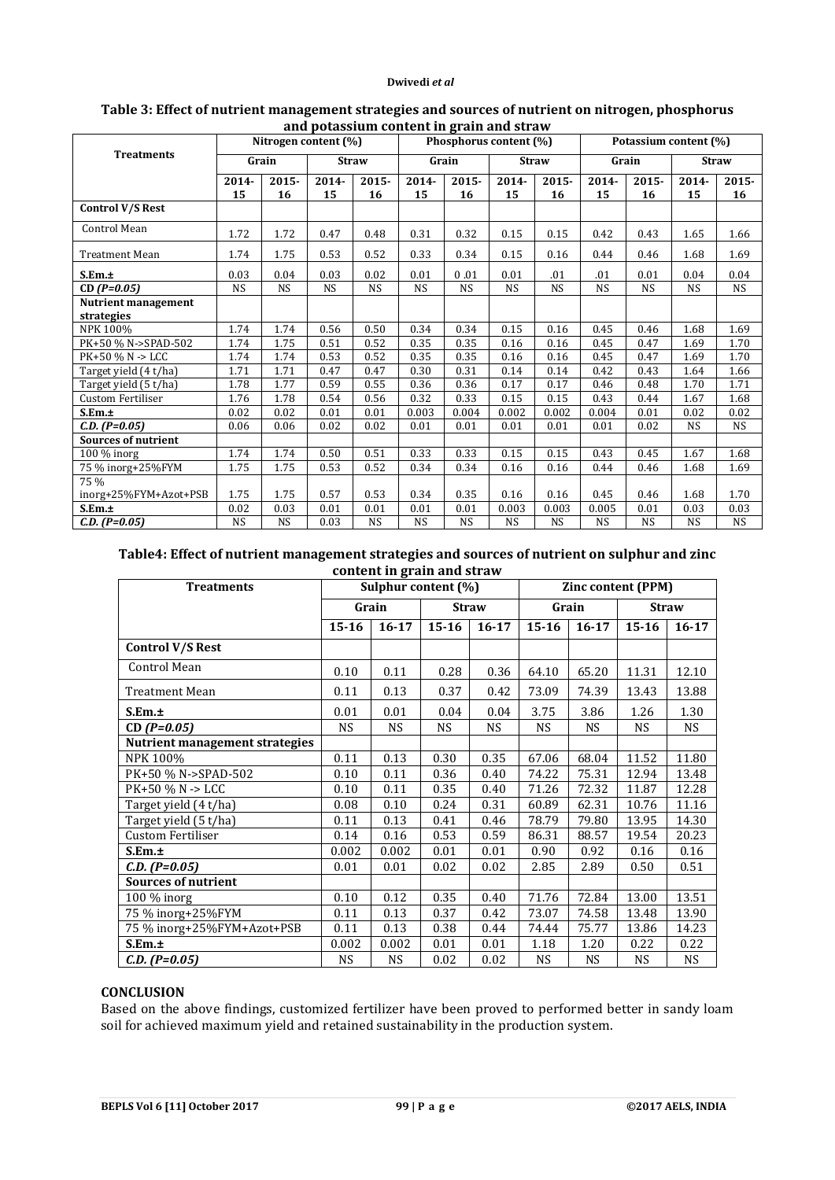| and potassium content in grain and straw |                      |           |           |              |                        |           |              |           |                       |           |              |           |
|------------------------------------------|----------------------|-----------|-----------|--------------|------------------------|-----------|--------------|-----------|-----------------------|-----------|--------------|-----------|
|                                          | Nitrogen content (%) |           |           |              | Phosphorus content (%) |           |              |           | Potassium content (%) |           |              |           |
| <b>Treatments</b>                        | Grain                |           |           | <b>Straw</b> | Grain                  |           | <b>Straw</b> |           | Grain                 |           | <b>Straw</b> |           |
|                                          | 2014-                | $2015 -$  | 2014-     | $2015 -$     | 2014-                  | $2015 -$  | 2014-        | 2015-     | 2014-                 | 2015-     | 2014-        | $2015 -$  |
|                                          | 15                   | 16        | 15        | 16           | 15                     | 16        | 15           | 16        | 15                    | 16        | 15           | 16        |
| Control V/S Rest                         |                      |           |           |              |                        |           |              |           |                       |           |              |           |
| Control Mean                             | 1.72                 | 1.72      | 0.47      | 0.48         | 0.31                   | 0.32      | 0.15         | 0.15      | 0.42                  | 0.43      | 1.65         | 1.66      |
| <b>Treatment Mean</b>                    | 1.74                 | 1.75      | 0.53      | 0.52         | 0.33                   | 0.34      | 0.15         | 0.16      | 0.44                  | 0.46      | 1.68         | 1.69      |
| S.Em.±                                   | 0.03                 | 0.04      | 0.03      | 0.02         | 0.01                   | 0.01      | 0.01         | .01       | .01                   | 0.01      | 0.04         | 0.04      |
| $CD(P=0.05)$                             | <b>NS</b>            | <b>NS</b> | <b>NS</b> | <b>NS</b>    | <b>NS</b>              | <b>NS</b> | <b>NS</b>    | <b>NS</b> | <b>NS</b>             | <b>NS</b> | <b>NS</b>    | <b>NS</b> |
| Nutrient management                      |                      |           |           |              |                        |           |              |           |                       |           |              |           |
| strategies                               |                      |           |           |              |                        |           |              |           |                       |           |              |           |
| NPK 100%                                 | 1.74                 | 1.74      | 0.56      | 0.50         | 0.34                   | 0.34      | 0.15         | 0.16      | 0.45                  | 0.46      | 1.68         | 1.69      |
| PK+50 % N->SPAD-502                      | 1.74                 | 1.75      | 0.51      | 0.52         | 0.35                   | 0.35      | 0.16         | 0.16      | 0.45                  | 0.47      | 1.69         | 1.70      |
| PK+50 % N -> LCC                         | 1.74                 | 1.74      | 0.53      | 0.52         | 0.35                   | 0.35      | 0.16         | 0.16      | 0.45                  | 0.47      | 1.69         | 1.70      |
| Target yield (4 t/ha)                    | 1.71                 | 1.71      | 0.47      | 0.47         | 0.30                   | 0.31      | 0.14         | 0.14      | 0.42                  | 0.43      | 1.64         | 1.66      |
| Target yield (5 t/ha)                    | 1.78                 | 1.77      | 0.59      | 0.55         | 0.36                   | 0.36      | 0.17         | 0.17      | 0.46                  | 0.48      | 1.70         | 1.71      |
| <b>Custom Fertiliser</b>                 | 1.76                 | 1.78      | 0.54      | 0.56         | 0.32                   | 0.33      | 0.15         | 0.15      | 0.43                  | 0.44      | 1.67         | 1.68      |
| S.Em.±                                   | 0.02                 | 0.02      | 0.01      | 0.01         | 0.003                  | 0.004     | 0.002        | 0.002     | 0.004                 | 0.01      | 0.02         | 0.02      |
| $C.D. (P=0.05)$                          | 0.06                 | 0.06      | 0.02      | 0.02         | 0.01                   | 0.01      | 0.01         | 0.01      | 0.01                  | 0.02      | <b>NS</b>    | <b>NS</b> |
| <b>Sources of nutrient</b>               |                      |           |           |              |                        |           |              |           |                       |           |              |           |
| $100\%$ inorg                            | 1.74                 | 1.74      | 0.50      | 0.51         | 0.33                   | 0.33      | 0.15         | 0.15      | 0.43                  | 0.45      | 1.67         | 1.68      |
| 75 % inorg+25%FYM                        | 1.75                 | 1.75      | 0.53      | 0.52         | 0.34                   | 0.34      | 0.16         | 0.16      | 0.44                  | 0.46      | 1.68         | 1.69      |
| 75 %                                     |                      |           |           |              |                        |           |              |           |                       |           |              |           |
| inorg+25%FYM+Azot+PSB                    | 1.75                 | 1.75      | 0.57      | 0.53         | 0.34                   | 0.35      | 0.16         | 0.16      | 0.45                  | 0.46      | 1.68         | 1.70      |
| S.Em.±                                   | 0.02                 | 0.03      | 0.01      | 0.01         | 0.01                   | 0.01      | 0.003        | 0.003     | 0.005                 | 0.01      | 0.03         | 0.03      |
| $C.D. (P=0.05)$                          | <b>NS</b>            | <b>NS</b> | 0.03      | <b>NS</b>    | <b>NS</b>              | <b>NS</b> | <b>NS</b>    | <b>NS</b> | <b>NS</b>             | <b>NS</b> | <b>NS</b>    | <b>NS</b> |

### **Table 3: Effect of nutrient management strategies and sources of nutrient on nitrogen, phosphorus and potassium content in grain and straw**

## **Table4: Effect of nutrient management strategies and sources of nutrient on sulphur and zinc content in grain and straw**

| <b>Treatments</b>              |           |           | $\frac{1}{2}$ . The contract of $\alpha$ , $\alpha$<br>Sulphur content (%) |              | Zinc content (PPM) |           |              |           |
|--------------------------------|-----------|-----------|----------------------------------------------------------------------------|--------------|--------------------|-----------|--------------|-----------|
|                                | Grain     |           |                                                                            | <b>Straw</b> |                    | Grain     | <b>Straw</b> |           |
|                                | $15 - 16$ | $16 - 17$ | $15 - 16$                                                                  | $16 - 17$    | $15 - 16$          | $16 - 17$ | $15 - 16$    | $16 - 17$ |
| <b>Control V/S Rest</b>        |           |           |                                                                            |              |                    |           |              |           |
| Control Mean                   | 0.10      | 0.11      | 0.28                                                                       | 0.36         | 64.10              | 65.20     | 11.31        | 12.10     |
| Treatment Mean                 | 0.11      | 0.13      | 0.37                                                                       | 0.42         | 73.09              | 74.39     | 13.43        | 13.88     |
| S.Em.±                         | 0.01      | 0.01      | 0.04                                                                       | 0.04         | 3.75               | 3.86      | 1.26         | 1.30      |
| $CD(P=0.05)$                   | <b>NS</b> | <b>NS</b> | <b>NS</b>                                                                  | <b>NS</b>    | <b>NS</b>          | <b>NS</b> | <b>NS</b>    | <b>NS</b> |
| Nutrient management strategies |           |           |                                                                            |              |                    |           |              |           |
| NPK 100%                       | 0.11      | 0.13      | 0.30                                                                       | 0.35         | 67.06              | 68.04     | 11.52        | 11.80     |
| PK+50 % N->SPAD-502            | 0.10      | 0.11      | 0.36                                                                       | 0.40         | 74.22              | 75.31     | 12.94        | 13.48     |
| PK+50 % N -> LCC               | 0.10      | 0.11      | 0.35                                                                       | 0.40         | 71.26              | 72.32     | 11.87        | 12.28     |
| Target yield (4 t/ha)          | 0.08      | 0.10      | 0.24                                                                       | 0.31         | 60.89              | 62.31     | 10.76        | 11.16     |
| Target yield (5 t/ha)          | 0.11      | 0.13      | 0.41                                                                       | 0.46         | 78.79              | 79.80     | 13.95        | 14.30     |
| Custom Fertiliser              | 0.14      | 0.16      | 0.53                                                                       | 0.59         | 86.31              | 88.57     | 19.54        | 20.23     |
| S.Em.t                         | 0.002     | 0.002     | 0.01                                                                       | 0.01         | 0.90               | 0.92      | 0.16         | 0.16      |
| $C.D. (P=0.05)$                | 0.01      | 0.01      | 0.02                                                                       | 0.02         | 2.85               | 2.89      | 0.50         | 0.51      |
| <b>Sources of nutrient</b>     |           |           |                                                                            |              |                    |           |              |           |
| $100\%$ inorg                  | 0.10      | 0.12      | 0.35                                                                       | 0.40         | 71.76              | 72.84     | 13.00        | 13.51     |
| 75 % inorg+25%FYM              | 0.11      | 0.13      | 0.37                                                                       | 0.42         | 73.07              | 74.58     | 13.48        | 13.90     |
| 75 % inorg+25%FYM+Azot+PSB     | 0.11      | 0.13      | 0.38                                                                       | 0.44         | 74.44              | 75.77     | 13.86        | 14.23     |
| S.Em.±                         | 0.002     | 0.002     | 0.01                                                                       | 0.01         | 1.18               | 1.20      | 0.22         | 0.22      |
| $C.D. (P=0.05)$                | <b>NS</b> | <b>NS</b> | 0.02                                                                       | 0.02         | <b>NS</b>          | <b>NS</b> | <b>NS</b>    | <b>NS</b> |

# **CONCLUSION**

Based on the above findings, customized fertilizer have been proved to performed better in sandy loam soil for achieved maximum yield and retained sustainability in the production system.